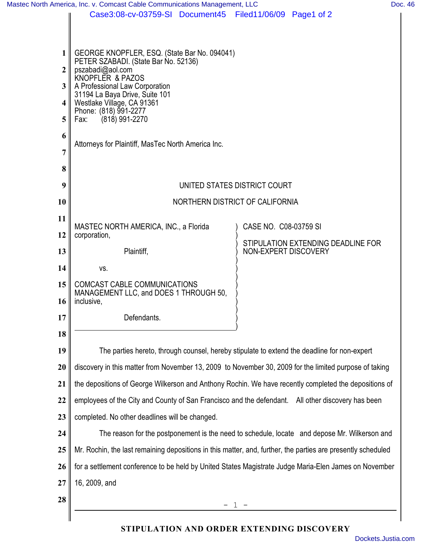|                 | Mastec North America, Inc. v. Comcast Cable Communications Management, LLC                                                                                                                                                  |                                                            | Doc. 46 |  |  |
|-----------------|-----------------------------------------------------------------------------------------------------------------------------------------------------------------------------------------------------------------------------|------------------------------------------------------------|---------|--|--|
|                 | Case3:08-cv-03759-SI Document45                                                                                                                                                                                             | Filed11/06/09 Page1 of 2                                   |         |  |  |
|                 |                                                                                                                                                                                                                             |                                                            |         |  |  |
| $1\vert$        | GEORGE KNOPFLER, ESQ. (State Bar No. 094041)                                                                                                                                                                                |                                                            |         |  |  |
| $\overline{2}$  | PETER SZABADI. (State Bar No. 52136)<br>pszabadi@aol.com                                                                                                                                                                    |                                                            |         |  |  |
| 3 <sup>1</sup>  | KNOPFLER & PAZOS<br>A Professional Law Corporation                                                                                                                                                                          |                                                            |         |  |  |
| $\vert$         | 31194 La Baya Drive, Suite 101<br>Westlake Village, CA 91361                                                                                                                                                                |                                                            |         |  |  |
| 5               | Phone: (818) 991-2277<br>$(818)$ 991-2270<br>Fax:                                                                                                                                                                           |                                                            |         |  |  |
| 6               |                                                                                                                                                                                                                             |                                                            |         |  |  |
| 7               | Attorneys for Plaintiff, MasTec North America Inc.                                                                                                                                                                          |                                                            |         |  |  |
| 8               |                                                                                                                                                                                                                             |                                                            |         |  |  |
| 9               |                                                                                                                                                                                                                             |                                                            |         |  |  |
| <b>10</b>       | UNITED STATES DISTRICT COURT<br>NORTHERN DISTRICT OF CALIFORNIA                                                                                                                                                             |                                                            |         |  |  |
| 11              |                                                                                                                                                                                                                             |                                                            |         |  |  |
| 12              | MASTEC NORTH AMERICA, INC., a Florida                                                                                                                                                                                       | CASE NO. C08-03759 SI                                      |         |  |  |
|                 | corporation,                                                                                                                                                                                                                | STIPULATION EXTENDING DEADLINE FOR<br>NON-EXPERT DISCOVERY |         |  |  |
| 13              | Plaintiff,                                                                                                                                                                                                                  |                                                            |         |  |  |
| 14              | VS.                                                                                                                                                                                                                         |                                                            |         |  |  |
| 15              | COMCAST CABLE COMMUNICATIONS<br>MANAGEMENT LLC, and DOES 1 THROUGH 50,                                                                                                                                                      |                                                            |         |  |  |
| 16 <sup>1</sup> | inclusive,                                                                                                                                                                                                                  |                                                            |         |  |  |
| 17              | Defendants.                                                                                                                                                                                                                 |                                                            |         |  |  |
| 18              |                                                                                                                                                                                                                             |                                                            |         |  |  |
| 19              | The parties hereto, through counsel, hereby stipulate to extend the deadline for non-expert                                                                                                                                 |                                                            |         |  |  |
| 20              | discovery in this matter from November 13, 2009 to November 30, 2009 for the limited purpose of taking<br>the depositions of George Wilkerson and Anthony Rochin. We have recently completed the depositions of             |                                                            |         |  |  |
| 21              |                                                                                                                                                                                                                             |                                                            |         |  |  |
| 22              | employees of the City and County of San Francisco and the defendant. All other discovery has been                                                                                                                           |                                                            |         |  |  |
| 23              | completed. No other deadlines will be changed.                                                                                                                                                                              |                                                            |         |  |  |
| 24              | The reason for the postponement is the need to schedule, locate and depose Mr. Wilkerson and                                                                                                                                |                                                            |         |  |  |
| 25              | Mr. Rochin, the last remaining depositions in this matter, and, further, the parties are presently scheduled<br>for a settlement conference to be held by United States Magistrate Judge Maria-Elen James on November<br>26 |                                                            |         |  |  |
|                 |                                                                                                                                                                                                                             |                                                            |         |  |  |
| 27              | 16, 2009, and                                                                                                                                                                                                               |                                                            |         |  |  |
| 28              |                                                                                                                                                                                                                             |                                                            |         |  |  |
|                 |                                                                                                                                                                                                                             |                                                            |         |  |  |

## **STIPULATION AND ORDER EXTENDING DISCOVERY**